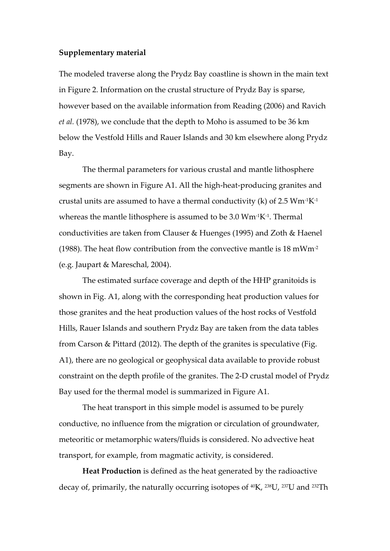## **Supplementary material**

The modeled traverse along the Prydz Bay coastline is shown in the main text in Figure 2. Information on the crustal structure of Prydz Bay is sparse, however based on the available information from Reading (2006) and Ravich *et al.* (1978), we conclude that the depth to Moho is assumed to be 36 km below the Vestfold Hills and Rauer Islands and 30 km elsewhere along Prydz Bay.

The thermal parameters for various crustal and mantle lithosphere segments are shown in Figure A1. All the high-heat-producing granites and crustal units are assumed to have a thermal conductivity (k) of 2.5  $Wm$ <sup>-1</sup>K<sup>-1</sup> whereas the mantle lithosphere is assumed to be  $3.0 \text{ Wm}$ <sup>1</sup>K<sup>-1</sup>. Thermal conductivities are taken from Clauser & Huenges (1995) and Zoth & Haenel (1988). The heat flow contribution from the convective mantle is  $18 \text{ mWm}^2$ (e.g. Jaupart & Mareschal, 2004).

The estimated surface coverage and depth of the HHP granitoids is shown in Fig. A1, along with the corresponding heat production values for those granites and the heat production values of the host rocks of Vestfold Hills, Rauer Islands and southern Prydz Bay are taken from the data tables from Carson & Pittard (2012). The depth of the granites is speculative (Fig. A1), there are no geological or geophysical data available to provide robust constraint on the depth profile of the granites. The 2‐D crustal model of Prydz Bay used for the thermal model is summarized in Figure A1.

The heat transport in this simple model is assumed to be purely conductive, no influence from the migration or circulation of groundwater, meteoritic or metamorphic waters/fluids is considered. No advective heat transport, for example, from magmatic activity, is considered.

**Heat Production** is defined as the heat generated by the radioactive decay of, primarily, the naturally occurring isotopes of  $40K$ ,  $238U$ ,  $237U$  and  $232Th$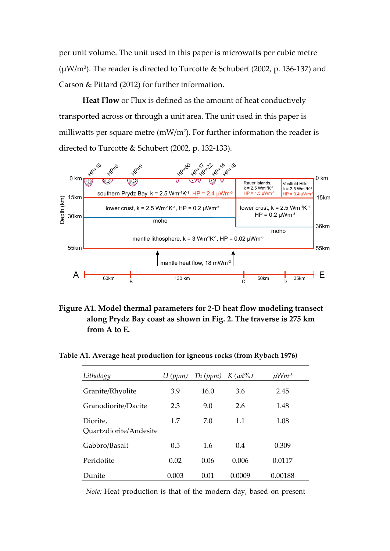per unit volume. The unit used in this paper is microwatts per cubic metre ( $\mu$ W/m<sup>3</sup>). The reader is directed to Turcotte & Schubert (2002, p. 136-137) and Carson & Pittard (2012) for further information.

**Heat Flow** or Flux is defined as the amount of heat conductively transported across or through a unit area. The unit used in this paper is milliwatts per square metre  $(mW/m<sup>2</sup>)$ . For further information the reader is directed to Turcotte & Schubert (2002, p. 132‐133).



**Figure A1. Model thermal parameters for 2‐D heat flow modeling transect along Prydz Bay coast as shown in Fig. 2. The traverse is 275 km from A to E.** 

**Table A1. Average heat production for igneous rocks (from Rybach 1976)**

| Lithology                                                         | U(ppm) | Th (ppm) | $K(w t\%)$ | $\mu$ Wm <sup>-3</sup> |
|-------------------------------------------------------------------|--------|----------|------------|------------------------|
| Granite/Rhyolite                                                  | 3.9    | 16.0     | 3.6        | 2.45                   |
| Granodiorite/Dacite                                               | 2.3    | 9.0      | 2.6        | 1.48                   |
| Diorite,<br>Quartzdiorite/Andesite                                | 1.7    | 7.0      | 1.1        | 1.08                   |
| Gabbro/Basalt                                                     | 0.5    | 1.6      | 0.4        | 0.309                  |
| Peridotite                                                        | 0.02   | 0.06     | 0.006      | 0.0117                 |
| Dunite                                                            | 0.003  | 0.01     | 0.0009     | 0.00188                |
| Note: Heat production is that of the modern day, based on present |        |          |            |                        |